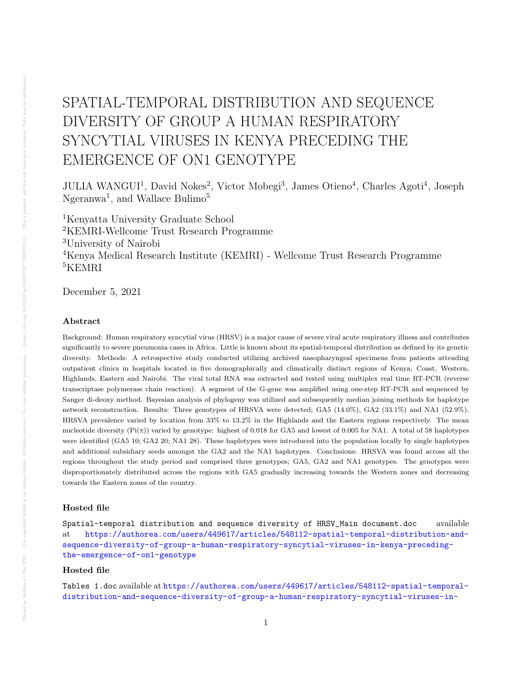# SPATIAL-TEMPORAL DISTRIBUTION AND SEQUENCE DIVERSITY OF GROUP A HUMAN RESPIRATORY SYNCYTIAL VIRUSES IN KENYA PRECEDING THE EMERGENCE OF ON1 GENOTYPE

JULIA WANGUI<sup>1</sup>, David Nokes<sup>2</sup>, Victor Mobegi<sup>3</sup>, James Otieno<sup>4</sup>, Charles Agoti<sup>4</sup>, Joseph Ngeranwa<sup>1</sup>, and Wallace Bulimo<sup>5</sup>

Kenyatta University Graduate School KEMRI-Wellcome Trust Research Programme University of Nairobi Kenya Medical Research Institute (KEMRI) - Wellcome Trust Research Programme <sup>5</sup>KEMRI

December 5, 2021

## Abstract

Background: Human respiratory syncytial virus (HRSV) is a major cause of severe viral acute respiratory illness and contributes significantly to severe pneumonia cases in Africa. Little is known about its spatial-temporal distribution as defined by its genetic diversity. Methods: A retrospective study conducted utilizing archived nasopharyngeal specimens from patients attending outpatient clinics in hospitals located in five demographically and climatically distinct regions of Kenya; Coast, Western, Highlands, Eastern and Nairobi. The viral total RNA was extracted and tested using multiplex real time RT-PCR (reverse transcriptase polymerase chain reaction). A segment of the G-gene was amplified using one-step RT-PCR and sequenced by Sanger di-deoxy method. Bayesian analysis of phylogeny was utilized and subsequently median joining methods for haplotype network reconstruction. Results: Three genotypes of HRSVA were detected; GA5 (14.0%), GA2 (33.1%) and NA1 (52.9%). HRSVA prevalence varied by location from 33% to 13.2% in the Highlands and the Eastern regions respectively. The mean nucleotide diversity  $(\text{Pi}(\pi))$  varied by genotype: highest of 0.018 for GA5 and lowest of 0.005 for NA1. A total of 58 haplotypes were identified (GA5 10; GA2 20; NA1 28). These haplotypes were introduced into the population locally by single haplotypes and additional subsidiary seeds amongst the GA2 and the NA1 haplotypes. Conclusions: HRSVA was found across all the regions throughout the study period and comprised three genotypes; GA5, GA2 and NA1 genotypes. The genotypes were disproportionately distributed across the regions with GA5 gradually increasing towards the Western zones and decreasing towards the Eastern zones of the country.

## Hosted file

Spatial-temporal distribution and sequence diversity of HRSV\_Main document.doc available at [https://authorea.com/users/449617/articles/548112-spatial-temporal-distribution-and](https://authorea.com/users/449617/articles/548112-spatial-temporal-distribution-and-sequence-diversity-of-group-a-human-respiratory-syncytial-viruses-in-kenya-preceding-the-emergence-of-on1-genotype)[sequence-diversity-of-group-a-human-respiratory-syncytial-viruses-in-kenya-preceding](https://authorea.com/users/449617/articles/548112-spatial-temporal-distribution-and-sequence-diversity-of-group-a-human-respiratory-syncytial-viruses-in-kenya-preceding-the-emergence-of-on1-genotype)[the-emergence-of-on1-genotype](https://authorea.com/users/449617/articles/548112-spatial-temporal-distribution-and-sequence-diversity-of-group-a-human-respiratory-syncytial-viruses-in-kenya-preceding-the-emergence-of-on1-genotype)

#### Hosted file

Tables 1.doc available at [https://authorea.com/users/449617/articles/548112-spatial-temporal](https://authorea.com/users/449617/articles/548112-spatial-temporal-distribution-and-sequence-diversity-of-group-a-human-respiratory-syncytial-viruses-in-kenya-preceding-the-emergence-of-on1-genotype)[distribution-and-sequence-diversity-of-group-a-human-respiratory-syncytial-viruses-in-](https://authorea.com/users/449617/articles/548112-spatial-temporal-distribution-and-sequence-diversity-of-group-a-human-respiratory-syncytial-viruses-in-kenya-preceding-the-emergence-of-on1-genotype)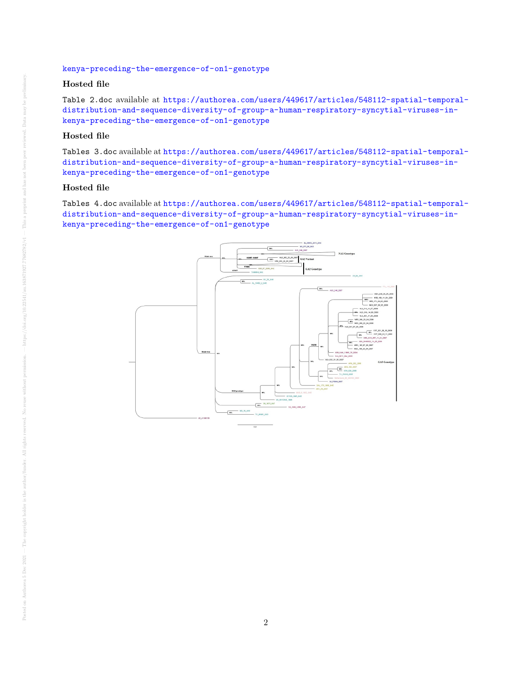## [kenya-preceding-the-emergence-of-on1-genotype](https://authorea.com/users/449617/articles/548112-spatial-temporal-distribution-and-sequence-diversity-of-group-a-human-respiratory-syncytial-viruses-in-kenya-preceding-the-emergence-of-on1-genotype)

# Hosted file

Table 2.doc available at [https://authorea.com/users/449617/articles/548112-spatial-temporal](https://authorea.com/users/449617/articles/548112-spatial-temporal-distribution-and-sequence-diversity-of-group-a-human-respiratory-syncytial-viruses-in-kenya-preceding-the-emergence-of-on1-genotype)[distribution-and-sequence-diversity-of-group-a-human-respiratory-syncytial-viruses-in](https://authorea.com/users/449617/articles/548112-spatial-temporal-distribution-and-sequence-diversity-of-group-a-human-respiratory-syncytial-viruses-in-kenya-preceding-the-emergence-of-on1-genotype)[kenya-preceding-the-emergence-of-on1-genotype](https://authorea.com/users/449617/articles/548112-spatial-temporal-distribution-and-sequence-diversity-of-group-a-human-respiratory-syncytial-viruses-in-kenya-preceding-the-emergence-of-on1-genotype)

# Hosted file

Tables 3.doc available at [https://authorea.com/users/449617/articles/548112-spatial-temporal](https://authorea.com/users/449617/articles/548112-spatial-temporal-distribution-and-sequence-diversity-of-group-a-human-respiratory-syncytial-viruses-in-kenya-preceding-the-emergence-of-on1-genotype)[distribution-and-sequence-diversity-of-group-a-human-respiratory-syncytial-viruses-in](https://authorea.com/users/449617/articles/548112-spatial-temporal-distribution-and-sequence-diversity-of-group-a-human-respiratory-syncytial-viruses-in-kenya-preceding-the-emergence-of-on1-genotype)[kenya-preceding-the-emergence-of-on1-genotype](https://authorea.com/users/449617/articles/548112-spatial-temporal-distribution-and-sequence-diversity-of-group-a-human-respiratory-syncytial-viruses-in-kenya-preceding-the-emergence-of-on1-genotype)

# Hosted file

Tables 4.doc available at [https://authorea.com/users/449617/articles/548112-spatial-temporal](https://authorea.com/users/449617/articles/548112-spatial-temporal-distribution-and-sequence-diversity-of-group-a-human-respiratory-syncytial-viruses-in-kenya-preceding-the-emergence-of-on1-genotype)[distribution-and-sequence-diversity-of-group-a-human-respiratory-syncytial-viruses-in](https://authorea.com/users/449617/articles/548112-spatial-temporal-distribution-and-sequence-diversity-of-group-a-human-respiratory-syncytial-viruses-in-kenya-preceding-the-emergence-of-on1-genotype)[kenya-preceding-the-emergence-of-on1-genotype](https://authorea.com/users/449617/articles/548112-spatial-temporal-distribution-and-sequence-diversity-of-group-a-human-respiratory-syncytial-viruses-in-kenya-preceding-the-emergence-of-on1-genotype)

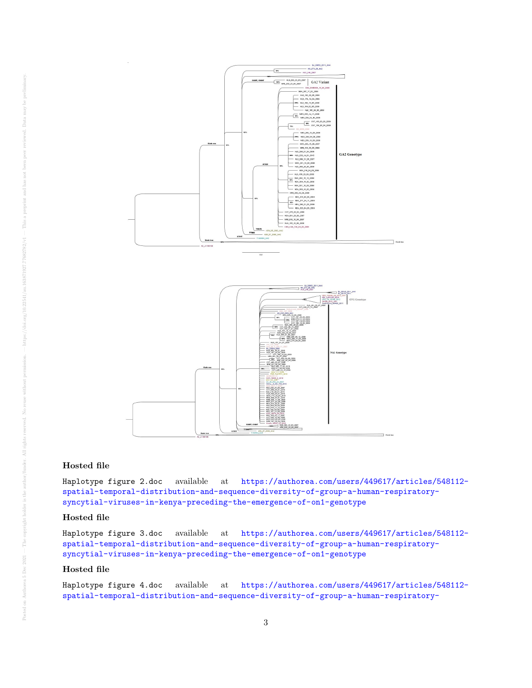

## Hosted file

Haplotype figure 2.doc available at [https://authorea.com/users/449617/articles/548112](https://authorea.com/users/449617/articles/548112-spatial-temporal-distribution-and-sequence-diversity-of-group-a-human-respiratory-syncytial-viruses-in-kenya-preceding-the-emergence-of-on1-genotype) [spatial-temporal-distribution-and-sequence-diversity-of-group-a-human-respiratory](https://authorea.com/users/449617/articles/548112-spatial-temporal-distribution-and-sequence-diversity-of-group-a-human-respiratory-syncytial-viruses-in-kenya-preceding-the-emergence-of-on1-genotype)[syncytial-viruses-in-kenya-preceding-the-emergence-of-on1-genotype](https://authorea.com/users/449617/articles/548112-spatial-temporal-distribution-and-sequence-diversity-of-group-a-human-respiratory-syncytial-viruses-in-kenya-preceding-the-emergence-of-on1-genotype)

## Hosted file

Haplotype figure 3.doc available at [https://authorea.com/users/449617/articles/548112](https://authorea.com/users/449617/articles/548112-spatial-temporal-distribution-and-sequence-diversity-of-group-a-human-respiratory-syncytial-viruses-in-kenya-preceding-the-emergence-of-on1-genotype) [spatial-temporal-distribution-and-sequence-diversity-of-group-a-human-respiratory](https://authorea.com/users/449617/articles/548112-spatial-temporal-distribution-and-sequence-diversity-of-group-a-human-respiratory-syncytial-viruses-in-kenya-preceding-the-emergence-of-on1-genotype)[syncytial-viruses-in-kenya-preceding-the-emergence-of-on1-genotype](https://authorea.com/users/449617/articles/548112-spatial-temporal-distribution-and-sequence-diversity-of-group-a-human-respiratory-syncytial-viruses-in-kenya-preceding-the-emergence-of-on1-genotype)

## Hosted file

Haplotype figure 4.doc available at [https://authorea.com/users/449617/articles/548112](https://authorea.com/users/449617/articles/548112-spatial-temporal-distribution-and-sequence-diversity-of-group-a-human-respiratory-syncytial-viruses-in-kenya-preceding-the-emergence-of-on1-genotype) [spatial-temporal-distribution-and-sequence-diversity-of-group-a-human-respiratory-](https://authorea.com/users/449617/articles/548112-spatial-temporal-distribution-and-sequence-diversity-of-group-a-human-respiratory-syncytial-viruses-in-kenya-preceding-the-emergence-of-on1-genotype)